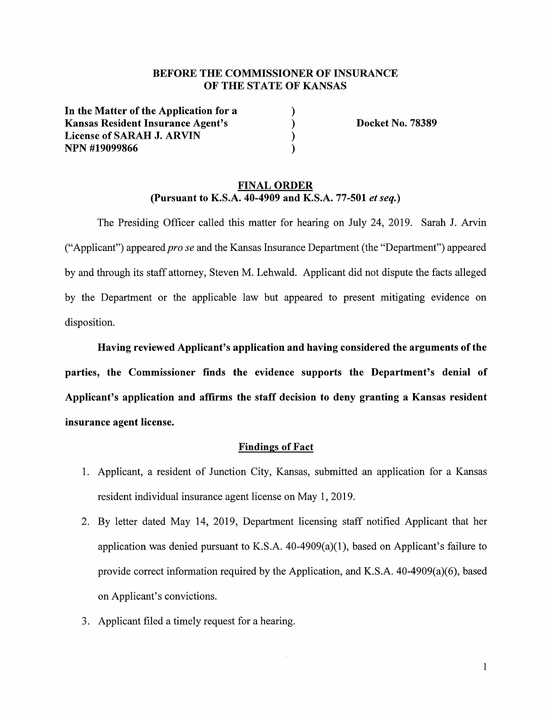# **BEFORE THE COMMISSIONER OF INSURANCE OF THE STATE OF KANSAS**

) ) ) )

In **the Matter of the Application for a Kansas Resident Insurance Agent's License of SARAH J. ARVIN NPN #19099866** 

**Docket No. 78389** 

# **FINAL ORDER (Pursuant to K.S.A. 40-4909 and K.S.A. 77-501** *et seq.)*

The Presiding Officer called this matter for hearing on July 24, 2019. Sarah J. Arvin ("Applicant") appeared *pro se* and the Kansas Insurance Department ( the "Department") appeared by and through its staff attorney, Steven M. Lehwald. Applicant did not dispute the facts alleged by the Department or the applicable law but appeared to present mitigating evidence on disposition.

**Having reviewed Applicant's application and having considered the arguments of the parties, the Commissioner finds the evidence supports the Department's denial of Applicant's application and affirms the staff decision to deny granting a Kansas resident insurance agent license.** 

# **Findings of Fact**

- 1. Applicant, a resident of Junction City, Kansas, submitted an application for a Kansas resident individual insurance agent license on May 1, 2019.
- 2. By letter dated May 14, 2019, Department licensing staff notified Applicant that her application was denied pursuant to K.S.A.  $40-4909(a)(1)$ , based on Applicant's failure to provide correct information required by the Application, and K.S.A.  $40-4909(a)(6)$ , based on Applicant's convictions.

 $\hat{\boldsymbol{\beta}}$ 

3. Applicant filed a timely request for a hearing.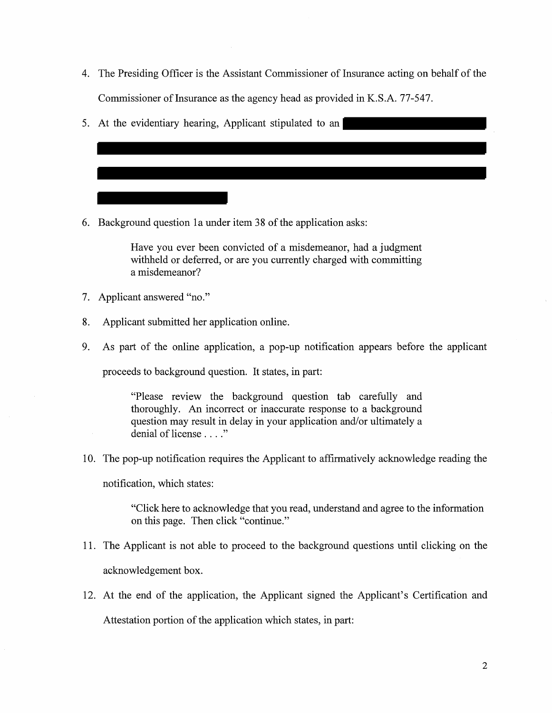- 4. The Presiding Officer is the Assistant Commissioner of Insurance acting on behalf of the Commissioner of Insurance as the agency head as provided in K.S.A. 77-547.
- 5. At the evidentiary hearing, Applicant stipulated to an

6. Background question la under item 38 of the application asks:

Have you ever been convicted of a misdemeanor, had a judgment withheld or deferred, or are you currently charged with committing a misdemeanor?

- 7. Applicant answered "no."
- 8. Applicant submitted her application online.
- 9. As part of the online application, a pop-up notification appears before the applicant

proceeds to background question. It states, in part:

"Please review the background question tab carefully and thoroughly. An incorrect or inaccurate response to a background question may result in delay in your application and/or ultimately a denial of license . . . ."

10. The pop-up notification requires the Applicant to affirmatively acknowledge reading the

notification, which states:

"Click here to acknowledge that you read, understand and agree to the information on this page. Then click "continue."

- 11. The Applicant is not able to proceed to the background questions until clicking on the acknowledgement box.
- 12. At the end of the application, the Applicant signed the Applicant's Certification and Attestation portion of the application which states, in part: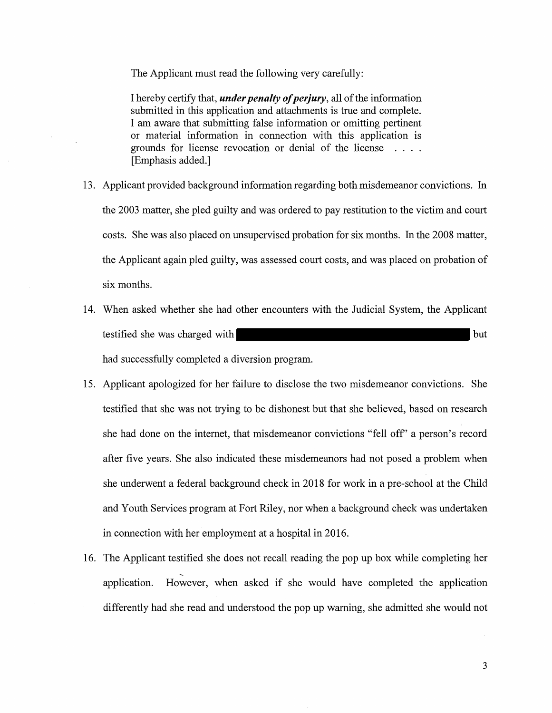The Applicant must read the following very carefully:

I hereby certify that, *under penalty of perjury,* all of the information submitted in this application and attachments is true and complete. I am aware that submitting false information or omitting pertinent or material information in connection with this application is grounds for license revocation or denial of the license  $\mathbb{R}^n$  and  $\mathbb{R}^n$ [Emphasis added.]

- 13. Applicant provided background information regarding both misdemeanor convictions. In the 2003 matter, she pled guilty and was ordered to pay restitution to the victim and court costs. She was also placed on unsupervised probation for six months. In the 2008 matter, the Applicant again pled guilty, was assessed court costs, and was placed on probation of six months.
- 14. When asked whether she had other encounters with the Judicial System, the Applicant testified she was charged with but had successfully completed a diversion program.
- 15. Applicant apologized for her failure to disclose the two misdemeanor convictions. She testified that she was not trying to be dishonest but that she believed, based on research she had done on the internet, that misdemeanor convictions "fell off' a person's record after five years. She also indicated these misdemeanors had not posed a problem when she underwent a federal background check in 2018 for work in a pre-school at the Child and Youth Services program at Fort Riley, nor when a background check was undertaken in connection with her employment at a hospital in 2016.
- 16. The Applicant testified she does not recall reading the pop up box while completing her -~ application. However, when asked if she would have completed the application differently had she read and understood the pop up warning, she admitted she would not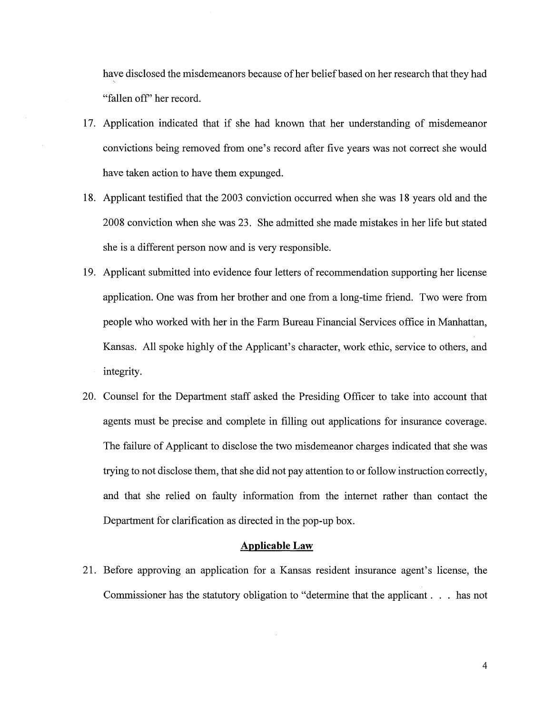have disclosed the misdemeanors because of her belief based on her research that they had ', "fallen off' her record.

- 17. Application indicated that if she had known that her understanding of misdemeanor convictions being removed from one's record after five years was not correct she would have taken action to have them expunged.
- 18. Applicant testified that the 2003 conviction occurred when she was 18 years old and the 2008 conviction when she was 23. She admitted she made mistakes in her life but stated she is a different person now and is very responsible.
- 19. Applicant submitted into evidence four letters of recommendation supporting her license application. One was from her brother and one from a long-time friend. Two were from people who worked with her in the Farm Bureau Financial Services office in Manhattan, Kansas. All spoke highly of the Applicant's character, work ethic, service to others, and integrity.
- 20. Counsel for the Department staff asked the Presiding Officer to take into account that agents must be precise and complete in filling out applications for insurance coverage. The failure of Applicant to disclose the two misdemeanor charges indicated that she was trying to not disclose them, that she did not pay attention to or follow instruction correctly, and that she relied on faulty information from the internet rather than contact the Department for clarification as directed in the pop-up box.

### **Applicable Law**

21. Before approving an application for a Kansas resident insurance agent's license, the Commissioner has the statutory obligation to "determine that the applicant ... has not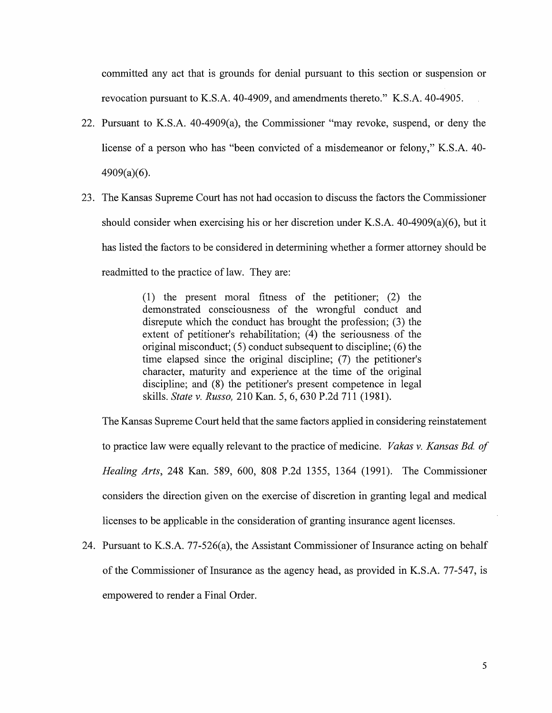committed any act that is grounds for denial pursuant to this section or suspension or revocation pursuant to K.S.A. 40-4909, and amendments thereto." K.S.A. 40-4905.

- 22. Pursuant to K.S.A. 40-4909(a), the Commissioner "may revoke, suspend, or deny the license of a person who has "been convicted of a misdemeanor or felony," K.S.A. 40- 4909(a)(6).
- 23. The Kansas Supreme Court has not had occasion to discuss the factors the Commissioner should consider when exercising his or her discretion under K.S.A. 40-4909(a)(6), but it has listed the factors to be considered in determining whether a former attorney should be readmitted to the practice of law. They are:

(1) the present moral fitness of the petitioner; (2) the demonstrated consciousness of the wrongful conduct and disrepute which the conduct has brought the profession; (3) the extent of petitioner's rehabilitation;  $(4)$  the seriousness of the original misconduct;  $(5)$  conduct subsequent to discipline;  $(6)$  the time elapsed since the original discipline; (7) the petitioner's character, maturity and experience at the time of the original discipline; and (8) the petitioner's present competence in legal skills. *State v. Russo,* 210 Kan. 5, 6, 630 P.2d 711 (1981).

The Kansas Supreme Court held that the same factors applied in considering reinstatement to practice law were equally relevant to the practice of medicine. *Vakas v. Kansas Bd. of Healing Arts,* 248 Kan. 589, 600, 808 P.2d 1355, 1364 (1991). The Commissioner considers the direction given on the exercise of discretion in granting legal and medical licenses to be applicable in the consideration of granting insurance agent licenses.

24. Pursuant to K.S.A. 77-526(a), the Assistant Commissioner of Insurance acting on behalf of the Commissioner of Insurance as the agency head, as provided in K.S.A. 77-547, is empowered to render a Final Order.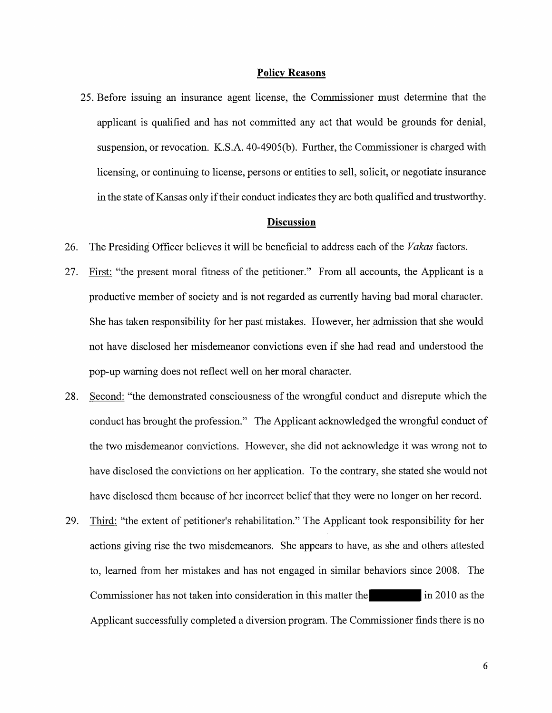#### **Policy Reasons**

25. Before issuing an insurance agent license, the Commissioner must determine that the applicant is qualified and has not committed any act that would be grounds for denial, suspension, or revocation. K.S.A. 40-4905(b). Further, the Commissioner is charged with licensing, or continuing to license, persons or entities to sell, solicit, or negotiate insurance in the state of Kansas only if their conduct indicates they are both qualified and trustworthy.

### **Discussion**

- 26. The Presiding Officer believes it will be beneficial to address each of the *Vakas* factors.
- 27. First: "the present moral fitness of the petitioner." From all accounts, the Applicant is a productive member of society and is not regarded as currently having bad moral character. She has taken responsibility for her past mistakes. However, her \_admission that she would not have disclosed her misdemeanor convictions even if she had read and understood the pop-up warning does not reflect well on her moral character.
- 28. Second: "the demonstrated consciousness of the wrongful conduct and disrepute which the conduct has brought the profession." The Applicant acknowledged the wrongful conduct of the two misdemeanor convictions. However, she did not acknowledge it was wrong not to have disclosed the convictions on her application. To the contrary, she stated she would not have disclosed them because of her incorrect belief that they were no longer on her record.
- 29. Third: "the extent of petitioner's rehabilitation." The Applicant took responsibility for her actions giving rise the two misdemeanors. She appears to have, as she and others attested to, learned from her mistakes and has not engaged in similar behaviors since 2008. The Commissioner has not taken into consideration in this matter the in 2010 as the Applicant successfully completed a diversion program. The Commissioner finds there is no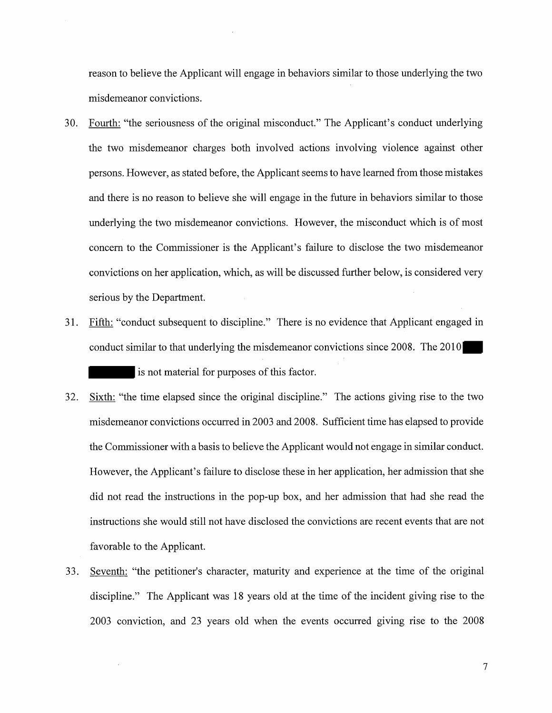reason to believe the Applicant will engage in behaviors similar to those underlying the two misdemeanor convictions.

- 30. Fourth: "the seriousness of the original misconduct." The Applicant's conduct underlying the two misdemeanor charges both involved actions involving violence against other persons. However, as stated before, the Applicant seems to have learned from those mistakes and there is no reason to believe she will engage in the future in behaviors similar to those underlying the two misdemeanor convictions. However, the misconduct which is of most concern to the Commissioner is the Applicant's failure to disclose the two misdemeanor convictions on her application, which, as will be discussed further below, is considered very serious by the Department.
- 31. Fifth: "conduct subsequent to discipline." There is no evidence that Applicant engaged in conduct similar to that underlying the misdemeanor convictions since 2008. The 2010 is not material for purposes of this factor.
- 32. Sixth: "the time elapsed since the original discipline." The actions giving rise to the two misdemeanor convictions occurred in 2003 and 2008. Sufficient time has elapsed to provide the Commissioner with a basis to believe the Applicant would not engage in similar conduct. However, the Applicant's failure to disclose these in her application, her admission that she did not read the instructions in the pop-up box, and her admission that had she read the instructions she would still not have disclosed the convictions are recent events that are not favorable to the Applicant.
- 33. Seventh: "the petitioner's character, maturity and experience at the time of the original discipline." The Applicant was 18 years old at the time of the incident giving rise to the 2003 conviction, and 23 years old when the events occurred giving rise to the 2008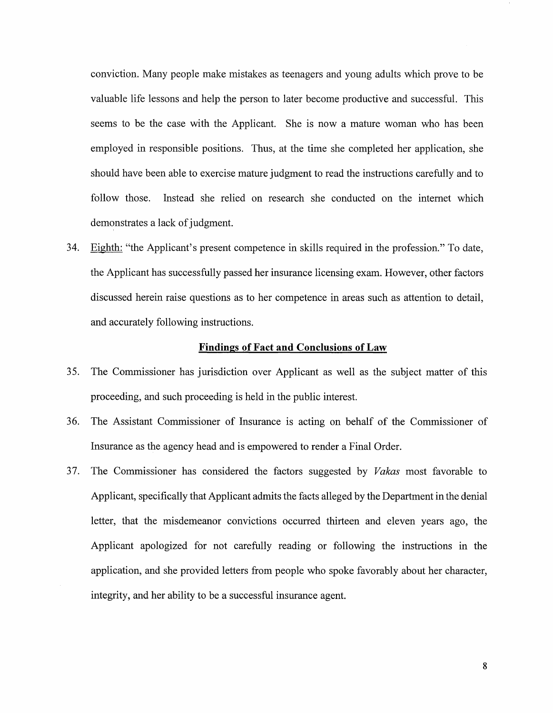conviction. Many people make mistakes as teenagers and young adults which prove to be valuable life lessons and help the person to later become productive and successful. This seems to be the case with the Applicant. She is now a mature woman who has been employed in responsible positions. Thus, at the time she completed her application, she should have been able to exercise mature judgment to read the instructions carefully and to follow those. Instead she relied on research she conducted on the internet which demonstrates a lack of judgment.

34. Eighth: "the Applicant's present competence in skills required in the profession." To date, the Applicant has successfully passed her insurance licensing exam. However, other factors discussed herein raise questions as to her competence in areas such as attention to detail, and accurately following instructions.

## **Findings of Fact and Conclusions of Law**

- 35. The Commissioner has jurisdiction over Applicant as well as the subject matter of this proceeding, and such proceeding is held in the public interest.
- 36. The Assistant Commissioner of Insurance is acting on behalf of the Commissioner of Insurance as the agency head and is empowered to render a Final Order.
- 3 7. The Commissioner has considered the factors suggested by *Vakas* most favorable to Applicant, specifically that Applicant admits the facts alleged by the Department in the denial letter, that the misdemeanor convictions occurred thirteen and eleven years ago, the Applicant apologized for not carefully reading or following the instructions in the application, and she provided letters from people who spoke favorably about her character, integrity, and her ability to be a successful insurance agent.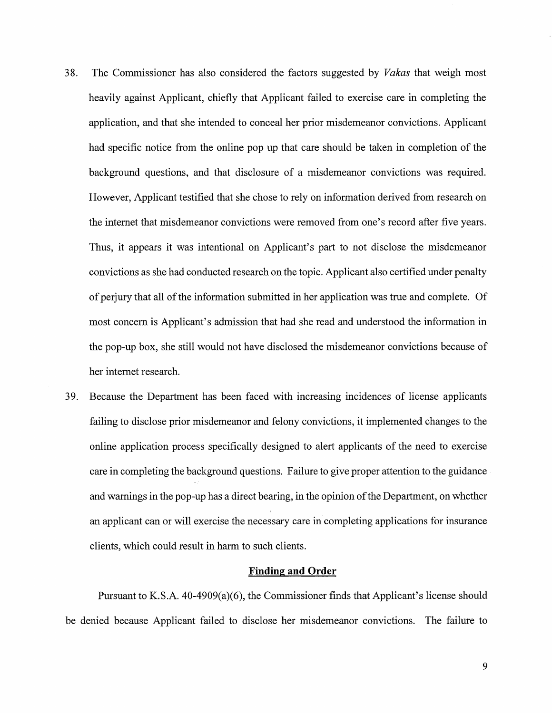- 3 8. The Commissioner has also considered the factors suggested by *Vakas* that weigh most heavily against Applicant, chiefly that Applicant failed to exercise care in completing the application, and that she intended to conceal her prior misdemeanor convictions. Applicant had specific notice from the online pop up that care should be taken in completion of the background questions, and that disclosure of a misdemeanor convictions was required. However, Applicant testified that she chose to rely on information derived from research on the internet that misdemeanor convictions were removed from one's record after five years. Thus, it appears it was intentional on Applicant's part to not disclose the misdemeanor convictions as she had conducted research on the topic. Applicant also certified under penalty of perjury that all of the information submitted in her application was true and complete. Of most concern is Applicant's admission that had she read and understood the information in the pop-up box, she still would not have disclosed the misdemeanor convictions because of her internet research.
- 39. Because the Department has been faced with increasing incidences of license applicants failing to disclose prior misdemeanor and felony convictions, it implemented changes to the online application process specifically designed to alert applicants of the need to exercise care in completing the background questions. Failure to give proper attention to the guidance and warnings in the pop-up has a direct bearing, in the opinion of the Department, on whether an applicant can or will exercise the necessary care in completing applications for insurance clients, which could result in harm to such clients.

### **Finding and Order**

Pursuant to K.S.A. 40-4909(a)(6), the Commissioner finds that Applicant's license should be denied because Applicant failed to disclose her misdemeanor convictions. The failure to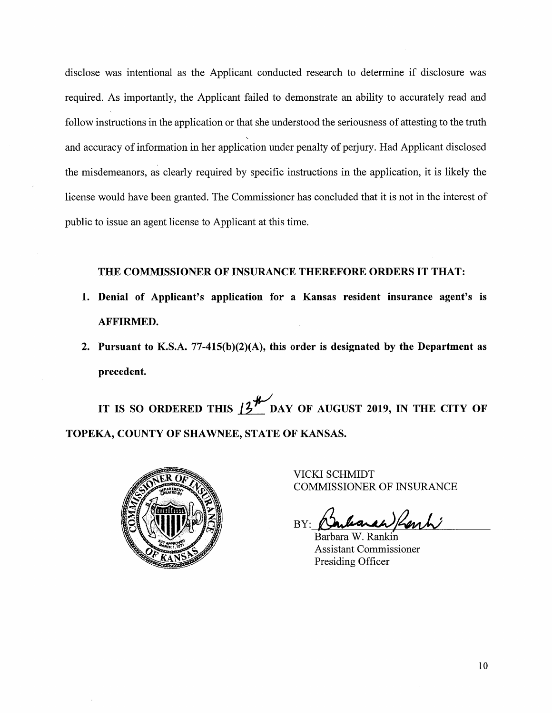disclose was intentional as the Applicant conducted research to determine if disclosure was required. As importantly, the Applicant failed to demonstrate an ability to accurately read and follow instructions in the application or that she understood the seriousness of attesting to the truth and accuracy of information in her application under penalty of perjury. Had Applicant disclosed the misdemeanors, as clearly required by specific instructions in the application, it is likely the license would have been granted. The Commissioner has concluded that it is not in the interest of public to issue an agent license to Applicant at this time.

# **THE COMMISSIONER OF INSURANCE THEREFORE ORDERS IT THAT:**

- **1. Denial of Applicant's application for a Kansas resident insurance agent's is AFFIRMED.**
- **2. Pursuant to K.S.A. 77-415(b)(2)(A), this order is designated by the Department as precedent.**

IT IS SO ORDERED THIS  $13^{\frac{1}{2}}$  DAY OF AUGUST 2019, IN THE CITY OF **TOPEKA, COUNTY OF SHAWNEE, STATE OF KANSAS.** 



VICKI SCHMIDT COMMISSIONER OF INSURANCE

BY: an) Renti

Barbara W. Rankin Assistant Commissioner Presiding Officer